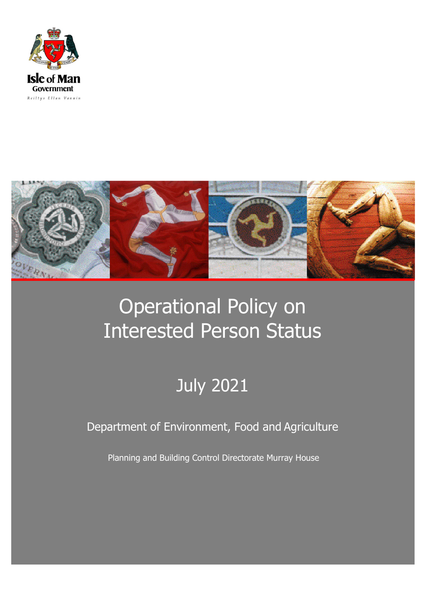



# Operational Policy on Interested Person Status

# July 2021

Department of Environment, Food and Agriculture

Planning and Building Control Directorate Murray House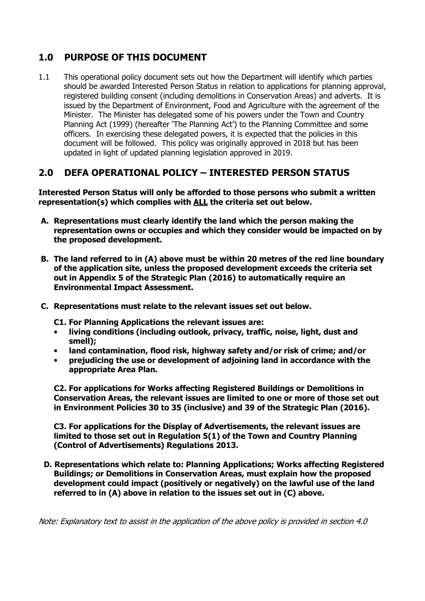## **1.0 PURPOSE OF THIS DOCUMENT**

1.1 This operational policy document sets out how the Department will identify which parties should be awarded Interested Person Status in relation to applications for planning approval, registered building consent (including demolitions in Conservation Areas) and adverts. It is issued by the Department of Environment, Food and Agriculture with the agreement of the Minister. The Minister has delegated some of his powers under the Town and Country Planning Act (1999) (hereafter 'The Planning Act') to the Planning Committee and some officers. In exercising these delegated powers, it is expected that the policies in this document will be followed. This policy was originally approved in 2018 but has been updated in light of updated planning legislation approved in 2019.

## **2.0 DEFA OPERATIONAL POLICY – INTERESTED PERSON STATUS**

**Interested Person Status will only be afforded to those persons who submit a written representation(s) which complies with ALL the criteria set out below.** 

- **A. Representations must clearly identify the land which the person making the representation owns or occupies and which they consider would be impacted on by the proposed development.**
- **B. The land referred to in (A) above must be within 20 metres of the red line boundary of the application site, unless the proposed development exceeds the criteria set out in Appendix 5 of the Strategic Plan (2016) to automatically require an Environmental Impact Assessment.**
- **C. Representations must relate to the relevant issues set out below.**

**C1. For Planning Applications the relevant issues are:** 

- **living conditions (including outlook, privacy, traffic, noise, light, dust and smell);**
- **land contamination, flood risk, highway safety and/or risk of crime; and/or**
- **prejudicing the use or development of adjoining land in accordance with the appropriate Area Plan.**

**C2. For applications for Works affecting Registered Buildings or Demolitions in Conservation Areas, the relevant issues are limited to one or more of those set out in Environment Policies 30 to 35 (inclusive) and 39 of the Strategic Plan (2016).** 

**C3. For applications for the Display of Advertisements, the relevant issues are limited to those set out in Regulation 5(1) of the Town and Country Planning (Control of Advertisements) Regulations 2013.** 

**D. Representations which relate to: Planning Applications; Works affecting Registered Buildings; or Demolitions in Conservation Areas, must explain how the proposed development could impact (positively or negatively) on the lawful use of the land referred to in (A) above in relation to the issues set out in (C) above.** 

Note: Explanatory text to assist in the application of the above policy is provided in section 4.0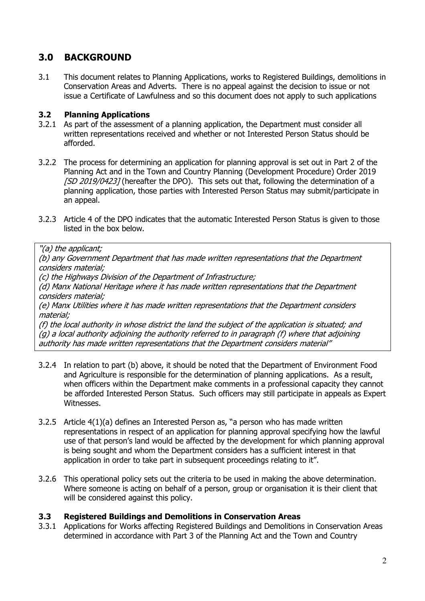## **3.0 BACKGROUND**

3.1 This document relates to Planning Applications, works to Registered Buildings, demolitions in Conservation Areas and Adverts. There is no appeal against the decision to issue or not issue a Certificate of Lawfulness and so this document does not apply to such applications

### **3.2 Planning Applications**

- 3.2.1 As part of the assessment of a planning application, the Department must consider all written representations received and whether or not Interested Person Status should be afforded.
- 3.2.2 The process for determining an application for planning approval is set out in Part 2 of the Planning Act and in the Town and Country Planning (Development Procedure) Order 2019 [SD 2019/0423] (hereafter the DPO). This sets out that, following the determination of a planning application, those parties with Interested Person Status may submit/participate in an appeal.
- 3.2.3 Article 4 of the DPO indicates that the automatic Interested Person Status is given to those listed in the box below.

#### "(a) the applicant;

(b) any Government Department that has made written representations that the Department considers material;

(c) the Highways Division of the Department of Infrastructure;

(d) Manx National Heritage where it has made written representations that the Department considers material;

(e) Manx Utilities where it has made written representations that the Department considers material;

(f) the local authority in whose district the land the subject of the application is situated; and (g) a local authority adjoining the authority referred to in paragraph (f) where that adjoining authority has made written representations that the Department considers material"

- 3.2.4 In relation to part (b) above, it should be noted that the Department of Environment Food and Agriculture is responsible for the determination of planning applications. As a result, when officers within the Department make comments in a professional capacity they cannot be afforded Interested Person Status. Such officers may still participate in appeals as Expert Witnesses.
- 3.2.5 Article 4(1)(a) defines an Interested Person as, "a person who has made written representations in respect of an application for planning approval specifying how the lawful use of that person's land would be affected by the development for which planning approval is being sought and whom the Department considers has a sufficient interest in that application in order to take part in subsequent proceedings relating to it".
- 3.2.6 This operational policy sets out the criteria to be used in making the above determination. Where someone is acting on behalf of a person, group or organisation it is their client that will be considered against this policy.

#### **3.3 Registered Buildings and Demolitions in Conservation Areas**

3.3.1 Applications for Works affecting Registered Buildings and Demolitions in Conservation Areas determined in accordance with Part 3 of the Planning Act and the Town and Country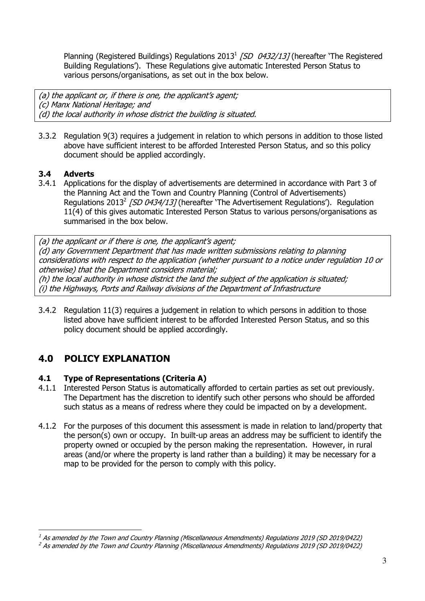Planning (Registered Buildings) Regulations 2013<sup>1</sup> [SD 0432/13] (hereafter 'The Registered Building Regulations'). These Regulations give automatic Interested Person Status to various persons/organisations, as set out in the box below.

(a) the applicant or, if there is one, the applicant's agent; (c) Manx National Heritage; and (d) the local authority in whose district the building is situated.

3.3.2 Regulation 9(3) requires a judgement in relation to which persons in addition to those listed above have sufficient interest to be afforded Interested Person Status, and so this policy document should be applied accordingly.

## **3.4 Adverts**

l.

3.4.1 Applications for the display of advertisements are determined in accordance with Part 3 of the Planning Act and the Town and Country Planning (Control of Advertisements) Regulations 2013<sup>2</sup> [SD 0434/13] (hereafter 'The Advertisement Regulations'). Regulation 11(4) of this gives automatic Interested Person Status to various persons/organisations as summarised in the box below.

(a) the applicant or if there is one, the applicant's agent; (d) any Government Department that has made written submissions relating to planning considerations with respect to the application (whether pursuant to a notice under regulation 10 or otherwise) that the Department considers material; (h) the local authority in whose district the land the subject of the application is situated; (i) the Highways, Ports and Railway divisions of the Department of Infrastructure

3.4.2 Regulation 11(3) requires a judgement in relation to which persons in addition to those listed above have sufficient interest to be afforded Interested Person Status, and so this policy document should be applied accordingly.

# **4.0 POLICY EXPLANATION**

## **4.1 Type of Representations (Criteria A)**

- 4.1.1 Interested Person Status is automatically afforded to certain parties as set out previously. The Department has the discretion to identify such other persons who should be afforded such status as a means of redress where they could be impacted on by a development.
- 4.1.2 For the purposes of this document this assessment is made in relation to land/property that the person(s) own or occupy. In built-up areas an address may be sufficient to identify the property owned or occupied by the person making the representation. However, in rural areas (and/or where the property is land rather than a building) it may be necessary for a map to be provided for the person to comply with this policy.

 $^{\text{\tiny{\textup{1}}}}$  As amended by the Town and Country Planning (Miscellaneous Amendments) Regulations 2019 (SD 2019/0422)

<sup>&</sup>lt;sup>2</sup> As amended by the Town and Country Planning (Miscellaneous Amendments) Regulations 2019 (SD 2019/0422)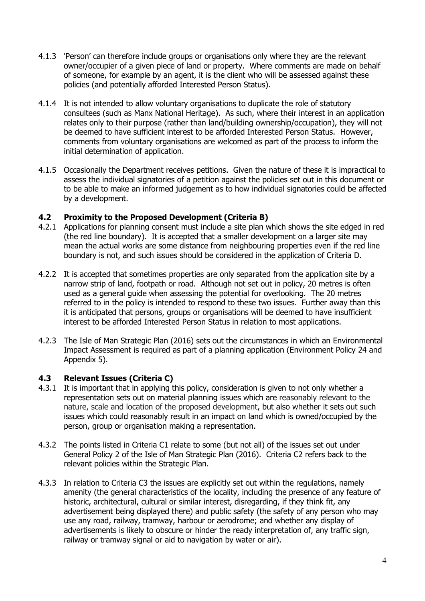- 4.1.3 'Person' can therefore include groups or organisations only where they are the relevant owner/occupier of a given piece of land or property. Where comments are made on behalf of someone, for example by an agent, it is the client who will be assessed against these policies (and potentially afforded Interested Person Status).
- 4.1.4 It is not intended to allow voluntary organisations to duplicate the role of statutory consultees (such as Manx National Heritage). As such, where their interest in an application relates only to their purpose (rather than land/building ownership/occupation), they will not be deemed to have sufficient interest to be afforded Interested Person Status. However, comments from voluntary organisations are welcomed as part of the process to inform the initial determination of application.
- 4.1.5 Occasionally the Department receives petitions. Given the nature of these it is impractical to assess the individual signatories of a petition against the policies set out in this document or to be able to make an informed judgement as to how individual signatories could be affected by a development.

#### **4.2 Proximity to the Proposed Development (Criteria B)**

- 4.2.1 Applications for planning consent must include a site plan which shows the site edged in red (the red line boundary). It is accepted that a smaller development on a larger site may mean the actual works are some distance from neighbouring properties even if the red line boundary is not, and such issues should be considered in the application of Criteria D.
- 4.2.2 It is accepted that sometimes properties are only separated from the application site by a narrow strip of land, footpath or road. Although not set out in policy, 20 metres is often used as a general guide when assessing the potential for overlooking. The 20 metres referred to in the policy is intended to respond to these two issues. Further away than this it is anticipated that persons, groups or organisations will be deemed to have insufficient interest to be afforded Interested Person Status in relation to most applications.
- 4.2.3 The Isle of Man Strategic Plan (2016) sets out the circumstances in which an Environmental Impact Assessment is required as part of a planning application (Environment Policy 24 and Appendix 5).

#### **4.3 Relevant Issues (Criteria C)**

- 4.3.1 It is important that in applying this policy, consideration is given to not only whether a representation sets out on material planning issues which are reasonably relevant to the nature, scale and location of the proposed development, but also whether it sets out such issues which could reasonably result in an impact on land which is owned/occupied by the person, group or organisation making a representation.
- 4.3.2 The points listed in Criteria C1 relate to some (but not all) of the issues set out under General Policy 2 of the Isle of Man Strategic Plan (2016). Criteria C2 refers back to the relevant policies within the Strategic Plan.
- 4.3.3 In relation to Criteria C3 the issues are explicitly set out within the regulations, namely amenity (the general characteristics of the locality, including the presence of any feature of historic, architectural, cultural or similar interest, disregarding, if they think fit, any advertisement being displayed there) and public safety (the safety of any person who may use any road, railway, tramway, harbour or aerodrome; and whether any display of advertisements is likely to obscure or hinder the ready interpretation of, any traffic sign, railway or tramway signal or aid to navigation by water or air).